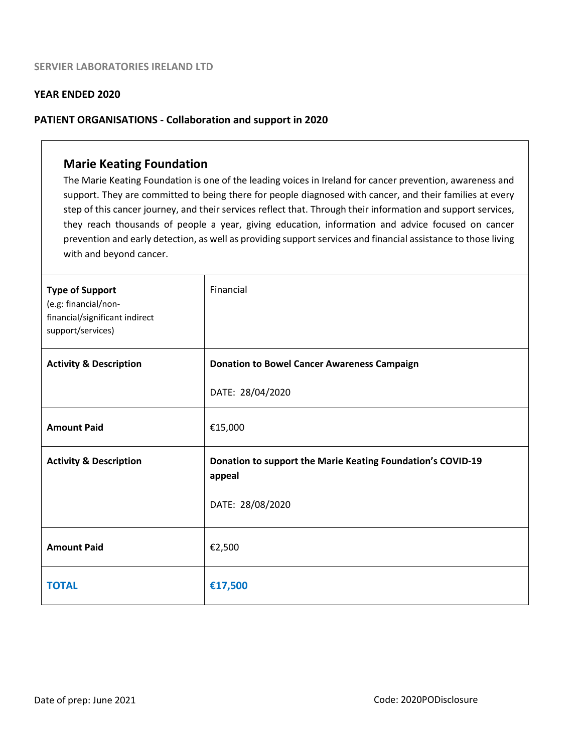#### **YEAR ENDED 2020**

#### **PATIENT ORGANISATIONS - Collaboration and support in 2020**

## **Marie Keating Foundation**

The Marie Keating Foundation is one of the leading voices in Ireland for cancer prevention, awareness and support. They are committed to being there for people diagnosed with cancer, and their families at every step of this cancer journey, and their services reflect that. Through their information and support services, they reach thousands of people a year, giving education, information and advice focused on cancer prevention and early detection, as well as providing support services and financial assistance to those living with and beyond cancer.

| <b>Type of Support</b><br>(e.g: financial/non-<br>financial/significant indirect<br>support/services) | Financial                                                             |
|-------------------------------------------------------------------------------------------------------|-----------------------------------------------------------------------|
| <b>Activity &amp; Description</b>                                                                     | <b>Donation to Bowel Cancer Awareness Campaign</b>                    |
|                                                                                                       | DATE: 28/04/2020                                                      |
| <b>Amount Paid</b>                                                                                    | €15,000                                                               |
| <b>Activity &amp; Description</b>                                                                     | Donation to support the Marie Keating Foundation's COVID-19<br>appeal |
|                                                                                                       | DATE: 28/08/2020                                                      |
| <b>Amount Paid</b>                                                                                    | €2,500                                                                |
| <b>TOTAL</b>                                                                                          | €17,500                                                               |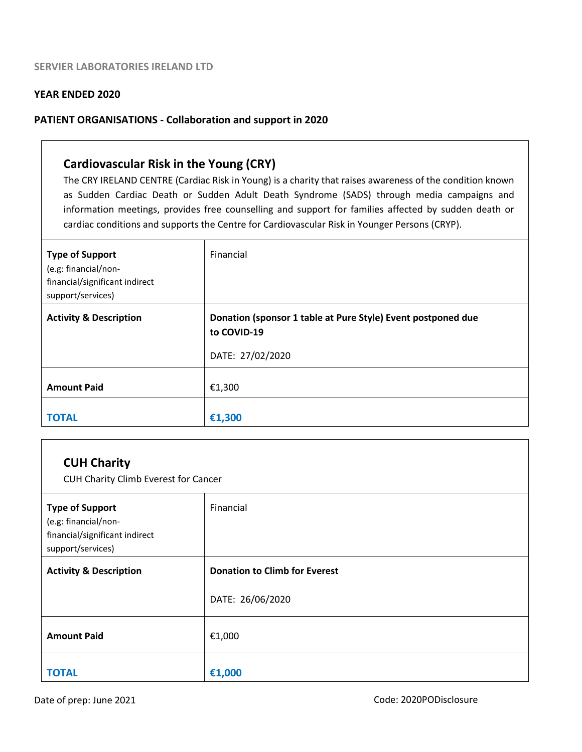#### **YEAR ENDED 2020**

#### **PATIENT ORGANISATIONS - Collaboration and support in 2020**

## **Cardiovascular Risk in the Young (CRY)**

The CRY IRELAND CENTRE (Cardiac Risk in Young) is a charity that raises awareness of the condition known as Sudden Cardiac Death or Sudden Adult Death Syndrome (SADS) through media campaigns and information meetings, provides free counselling and support for families affected by sudden death or cardiac conditions and supports the Centre for Cardiovascular Risk in Younger Persons (CRYP).

| <b>Type of Support</b><br>(e.g: financial/non-<br>financial/significant indirect<br>support/services) | Financial                                                                   |
|-------------------------------------------------------------------------------------------------------|-----------------------------------------------------------------------------|
| <b>Activity &amp; Description</b>                                                                     | Donation (sponsor 1 table at Pure Style) Event postponed due<br>to COVID-19 |
|                                                                                                       | DATE: 27/02/2020                                                            |
| <b>Amount Paid</b>                                                                                    | €1,300                                                                      |
| <b>TOTAL</b>                                                                                          | €1,300                                                                      |

| <b>CUH Charity</b><br>CUH Charity Climb Everest for Cancer                                            |                                      |  |
|-------------------------------------------------------------------------------------------------------|--------------------------------------|--|
| <b>Type of Support</b><br>(e.g: financial/non-<br>financial/significant indirect<br>support/services) | Financial                            |  |
| <b>Activity &amp; Description</b>                                                                     | <b>Donation to Climb for Everest</b> |  |
|                                                                                                       | DATE: 26/06/2020                     |  |
| <b>Amount Paid</b>                                                                                    | €1,000                               |  |
| TOTAL                                                                                                 | €1,000                               |  |